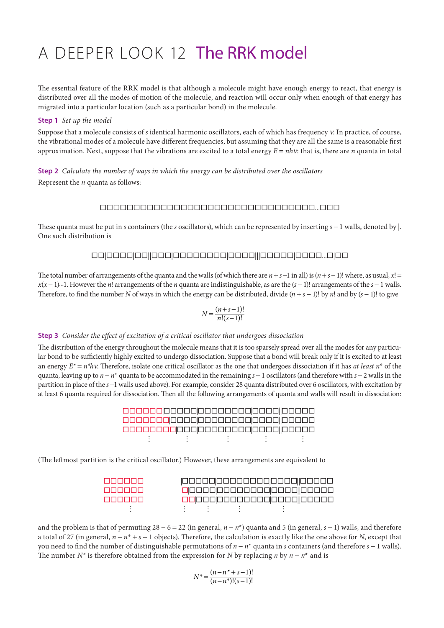# A deeper look 12 The RRK model

The essential feature of the RRK model is that although a molecule might have enough energy to react, that energy is distributed over all the modes of motion of the molecule, and reaction will occur only when enough of that energy has migrated into a particular location (such as a particular bond) in the molecule.

## **Step 1** *Set up the model*

Suppose that a molecule consists of *s* identical harmonic oscillators, each of which has frequency ν. In practice, of course, the vibrational modes of a molecule have different frequencies, but assuming that they are all the same is a reasonable first approximation. Next, suppose that the vibrations are excited to a total energy  $E = nhv$ : that is, there are *n* quanta in total

**Step 2** *Calculate the number of ways in which the energy can be distributed over the oscillators* Represent the *n* quanta as follows:

# 

These quanta must be put in *s* containers (the *s* oscillators), which can be represented by inserting *s* − 1 walls, denoted by |. One such distribution is

### 

The total number of arrangements of the quanta and the walls (of which there are  $n + s - 1$  in all) is  $(n + s - 1)!$  where, as usual,  $x! =$ *x*(*x* − 1)...1. However the *n*! arrangements of the *n* quanta are indistinguishable, as are the (*s* − 1)! arrangements of the *s* − 1 walls. Therefore, to find the number *N* of ways in which the energy can be distributed, divide (*n* + *s* − 1)! by *n*! and by (*s* − 1)! to give

$$
N = \frac{(n+s-1)!}{n!(s-1)!}
$$

#### **Step 3** *Consider the effect of excitation of a critical oscillator that undergoes dissociation*

The distribution of the energy throughout the molecule means that it is too sparsely spread over all the modes for any particular bond to be sufficiently highly excited to undergo dissociation. Suppose that a bond will break only if it is excited to at least an energy  $E^* = n^*h$ v. Therefore, isolate one critical oscillator as the one that undergoes dissociation if it has *at least*  $n^*$  of the quanta, leaving up to *n* − *n*\* quanta to be accommodated in the remaining *s* − 1 oscillators (and therefore with *s* − 2 walls in the partition in place of the *s* −1 walls used above). For example, consider 28 quanta distributed over 6 oscillators, with excitation by at least 6 quanta required for dissociation. Then all the following arrangements of quanta and walls will result in dissociation:

(The leftmost partition is the critical oscillator.) However, these arrangements are equivalent to

| <u> Intelected e l</u>    |  | 00000000000000000000000 |
|---------------------------|--|-------------------------|
| <u> Islaiciai Sisla</u>   |  | 00000000000000000000000 |
| <u> La Sigila I di Si</u> |  |                         |
|                           |  |                         |

and the problem is that of permuting 28 − 6 = 22 (in general, *n* − *n*\*) quanta and 5 (in general, *s* − 1) walls, and therefore a total of 27 (in general, *n* − *n*\* + *s* − 1 objects). Therefore, the calculation is exactly like the one above for *N*, except that you need to find the number of distinguishable permutations of *n* − *n*\* quanta in *s* containers (and therefore *s* − 1 walls). The number *N*<sup>\*</sup> is therefore obtained from the expression for *N* by replacing *n* by  $n - n^*$  and is

$$
N^* = \frac{(n - n^* + s - 1)!}{(n - n^*)!(s - 1)!}
$$